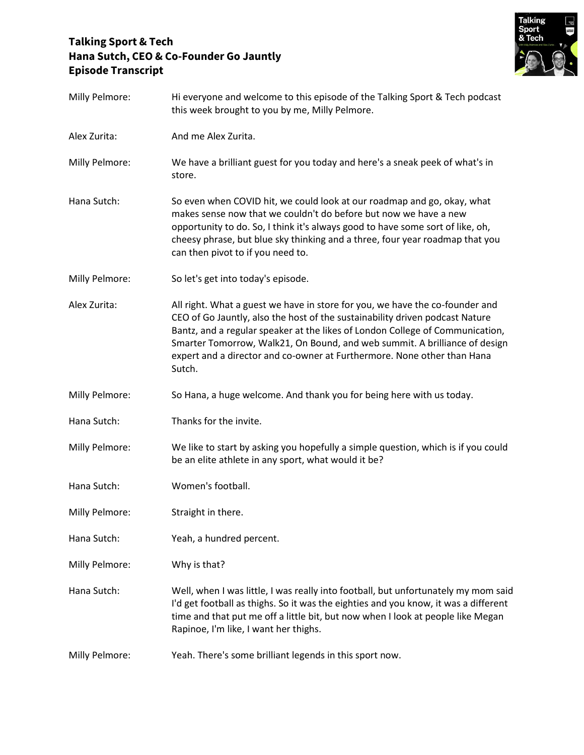## **Talking Sport & Tech Hana Sutch, CEO & Co-Founder Go Jauntly Episode Transcript**



| Milly Pelmore: | Hi everyone and welcome to this episode of the Talking Sport & Tech podcast<br>this week brought to you by me, Milly Pelmore.                                                                                                                                                                                                                                                                                    |
|----------------|------------------------------------------------------------------------------------------------------------------------------------------------------------------------------------------------------------------------------------------------------------------------------------------------------------------------------------------------------------------------------------------------------------------|
| Alex Zurita:   | And me Alex Zurita.                                                                                                                                                                                                                                                                                                                                                                                              |
| Milly Pelmore: | We have a brilliant guest for you today and here's a sneak peek of what's in<br>store.                                                                                                                                                                                                                                                                                                                           |
| Hana Sutch:    | So even when COVID hit, we could look at our roadmap and go, okay, what<br>makes sense now that we couldn't do before but now we have a new<br>opportunity to do. So, I think it's always good to have some sort of like, oh,<br>cheesy phrase, but blue sky thinking and a three, four year roadmap that you<br>can then pivot to if you need to.                                                               |
| Milly Pelmore: | So let's get into today's episode.                                                                                                                                                                                                                                                                                                                                                                               |
| Alex Zurita:   | All right. What a guest we have in store for you, we have the co-founder and<br>CEO of Go Jauntly, also the host of the sustainability driven podcast Nature<br>Bantz, and a regular speaker at the likes of London College of Communication,<br>Smarter Tomorrow, Walk21, On Bound, and web summit. A brilliance of design<br>expert and a director and co-owner at Furthermore. None other than Hana<br>Sutch. |
| Milly Pelmore: | So Hana, a huge welcome. And thank you for being here with us today.                                                                                                                                                                                                                                                                                                                                             |
| Hana Sutch:    | Thanks for the invite.                                                                                                                                                                                                                                                                                                                                                                                           |
| Milly Pelmore: | We like to start by asking you hopefully a simple question, which is if you could<br>be an elite athlete in any sport, what would it be?                                                                                                                                                                                                                                                                         |
| Hana Sutch:    | Women's football.                                                                                                                                                                                                                                                                                                                                                                                                |
| Milly Pelmore: | Straight in there.                                                                                                                                                                                                                                                                                                                                                                                               |
| Hana Sutch:    | Yeah, a hundred percent.                                                                                                                                                                                                                                                                                                                                                                                         |
| Milly Pelmore: | Why is that?                                                                                                                                                                                                                                                                                                                                                                                                     |
| Hana Sutch:    | Well, when I was little, I was really into football, but unfortunately my mom said<br>I'd get football as thighs. So it was the eighties and you know, it was a different<br>time and that put me off a little bit, but now when I look at people like Megan<br>Rapinoe, I'm like, I want her thighs.                                                                                                            |
| Milly Pelmore: | Yeah. There's some brilliant legends in this sport now.                                                                                                                                                                                                                                                                                                                                                          |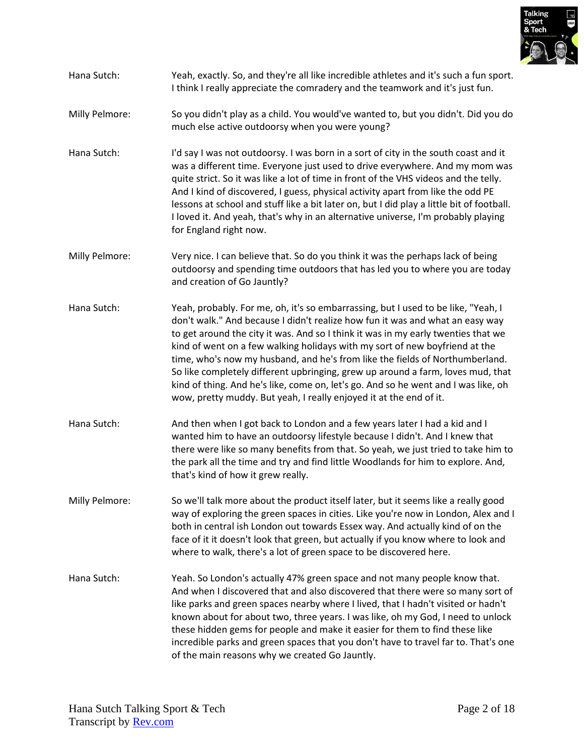

- Hana Sutch: Yeah, exactly. So, and they're all like incredible athletes and it's such a fun sport. I think I really appreciate the comradery and the teamwork and it's just fun.
- Milly Pelmore: So you didn't play as a child. You would've wanted to, but you didn't. Did you do much else active outdoorsy when you were young?
- Hana Sutch: I'd say I was not outdoorsy. I was born in a sort of city in the south coast and it was a different time. Everyone just used to drive everywhere. And my mom was quite strict. So it was like a lot of time in front of the VHS videos and the telly. And I kind of discovered, I guess, physical activity apart from like the odd PE lessons at school and stuff like a bit later on, but I did play a little bit of football. I loved it. And yeah, that's why in an alternative universe, I'm probably playing for England right now.
- Milly Pelmore: Very nice. I can believe that. So do you think it was the perhaps lack of being outdoorsy and spending time outdoors that has led you to where you are today and creation of Go Jauntly?
- Hana Sutch: Yeah, probably. For me, oh, it's so embarrassing, but I used to be like, "Yeah, I don't walk." And because I didn't realize how fun it was and what an easy way to get around the city it was. And so I think it was in my early twenties that we kind of went on a few walking holidays with my sort of new boyfriend at the time, who's now my husband, and he's from like the fields of Northumberland. So like completely different upbringing, grew up around a farm, loves mud, that kind of thing. And he's like, come on, let's go. And so he went and I was like, oh wow, pretty muddy. But yeah, I really enjoyed it at the end of it.
- Hana Sutch: And then when I got back to London and a few years later I had a kid and I wanted him to have an outdoorsy lifestyle because I didn't. And I knew that there were like so many benefits from that. So yeah, we just tried to take him to the park all the time and try and find little Woodlands for him to explore. And, that's kind of how it grew really.
- Milly Pelmore: So we'll talk more about the product itself later, but it seems like a really good way of exploring the green spaces in cities. Like you're now in London, Alex and I both in central ish London out towards Essex way. And actually kind of on the face of it it doesn't look that green, but actually if you know where to look and where to walk, there's a lot of green space to be discovered here.
- Hana Sutch: Yeah. So London's actually 47% green space and not many people know that. And when I discovered that and also discovered that there were so many sort of like parks and green spaces nearby where I lived, that I hadn't visited or hadn't known about for about two, three years. I was like, oh my God, I need to unlock these hidden gems for people and make it easier for them to find these like incredible parks and green spaces that you don't have to travel far to. That's one of the main reasons why we created Go Jauntly.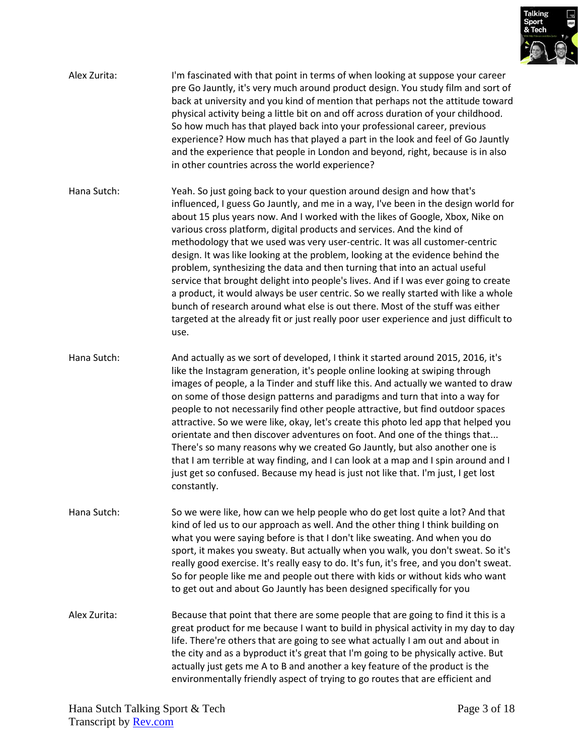

| Alex Zurita: | I'm fascinated with that point in terms of when looking at suppose your career<br>pre Go Jauntly, it's very much around product design. You study film and sort of<br>back at university and you kind of mention that perhaps not the attitude toward<br>physical activity being a little bit on and off across duration of your childhood.<br>So how much has that played back into your professional career, previous<br>experience? How much has that played a part in the look and feel of Go Jauntly<br>and the experience that people in London and beyond, right, because is in also<br>in other countries across the world experience?                                                                                                                                                                                                                                                                                        |
|--------------|---------------------------------------------------------------------------------------------------------------------------------------------------------------------------------------------------------------------------------------------------------------------------------------------------------------------------------------------------------------------------------------------------------------------------------------------------------------------------------------------------------------------------------------------------------------------------------------------------------------------------------------------------------------------------------------------------------------------------------------------------------------------------------------------------------------------------------------------------------------------------------------------------------------------------------------|
| Hana Sutch:  | Yeah. So just going back to your question around design and how that's<br>influenced, I guess Go Jauntly, and me in a way, I've been in the design world for<br>about 15 plus years now. And I worked with the likes of Google, Xbox, Nike on<br>various cross platform, digital products and services. And the kind of<br>methodology that we used was very user-centric. It was all customer-centric<br>design. It was like looking at the problem, looking at the evidence behind the<br>problem, synthesizing the data and then turning that into an actual useful<br>service that brought delight into people's lives. And if I was ever going to create<br>a product, it would always be user centric. So we really started with like a whole<br>bunch of research around what else is out there. Most of the stuff was either<br>targeted at the already fit or just really poor user experience and just difficult to<br>use. |
| Hana Sutch:  | And actually as we sort of developed, I think it started around 2015, 2016, it's<br>like the Instagram generation, it's people online looking at swiping through<br>images of people, a la Tinder and stuff like this. And actually we wanted to draw<br>on some of those design patterns and paradigms and turn that into a way for<br>people to not necessarily find other people attractive, but find outdoor spaces<br>attractive. So we were like, okay, let's create this photo led app that helped you<br>orientate and then discover adventures on foot. And one of the things that<br>There's so many reasons why we created Go Jauntly, but also another one is<br>that I am terrible at way finding, and I can look at a map and I spin around and I<br>just get so confused. Because my head is just not like that. I'm just, I get lost<br>constantly.                                                                   |
| Hana Sutch:  | So we were like, how can we help people who do get lost quite a lot? And that<br>kind of led us to our approach as well. And the other thing I think building on<br>what you were saying before is that I don't like sweating. And when you do<br>sport, it makes you sweaty. But actually when you walk, you don't sweat. So it's<br>really good exercise. It's really easy to do. It's fun, it's free, and you don't sweat.<br>So for people like me and people out there with kids or without kids who want<br>to get out and about Go Jauntly has been designed specifically for you                                                                                                                                                                                                                                                                                                                                              |
| Alex Zurita: | Because that point that there are some people that are going to find it this is a<br>great product for me because I want to build in physical activity in my day to day<br>life. There're others that are going to see what actually I am out and about in<br>the city and as a byproduct it's great that I'm going to be physically active. But<br>actually just gets me A to B and another a key feature of the product is the<br>environmentally friendly aspect of trying to go routes that are efficient and                                                                                                                                                                                                                                                                                                                                                                                                                     |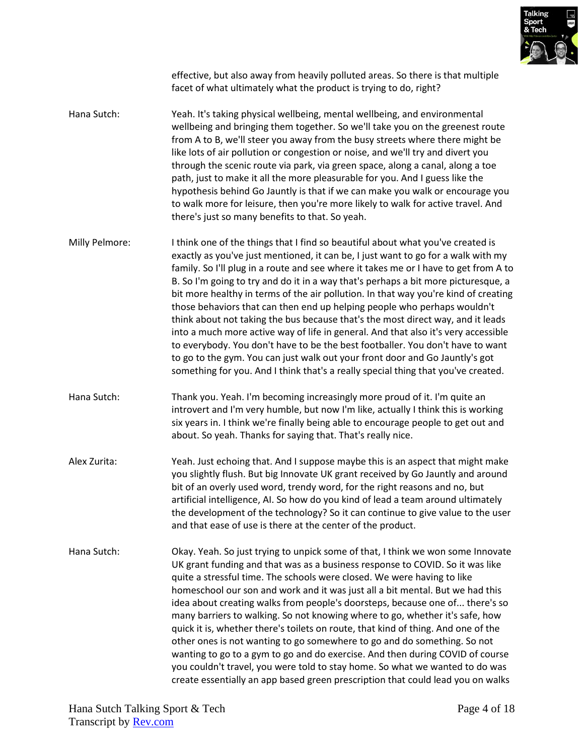

effective, but also away from heavily polluted areas. So there is that multiple facet of what ultimately what the product is trying to do, right?

- Hana Sutch: Yeah. It's taking physical wellbeing, mental wellbeing, and environmental wellbeing and bringing them together. So we'll take you on the greenest route from A to B, we'll steer you away from the busy streets where there might be like lots of air pollution or congestion or noise, and we'll try and divert you through the scenic route via park, via green space, along a canal, along a toe path, just to make it all the more pleasurable for you. And I guess like the hypothesis behind Go Jauntly is that if we can make you walk or encourage you to walk more for leisure, then you're more likely to walk for active travel. And there's just so many benefits to that. So yeah.
- Milly Pelmore: I think one of the things that I find so beautiful about what you've created is exactly as you've just mentioned, it can be, I just want to go for a walk with my family. So I'll plug in a route and see where it takes me or I have to get from A to B. So I'm going to try and do it in a way that's perhaps a bit more picturesque, a bit more healthy in terms of the air pollution. In that way you're kind of creating those behaviors that can then end up helping people who perhaps wouldn't think about not taking the bus because that's the most direct way, and it leads into a much more active way of life in general. And that also it's very accessible to everybody. You don't have to be the best footballer. You don't have to want to go to the gym. You can just walk out your front door and Go Jauntly's got something for you. And I think that's a really special thing that you've created.
- Hana Sutch: Thank you. Yeah. I'm becoming increasingly more proud of it. I'm quite an introvert and I'm very humble, but now I'm like, actually I think this is working six years in. I think we're finally being able to encourage people to get out and about. So yeah. Thanks for saying that. That's really nice.
- Alex Zurita: Yeah. Just echoing that. And I suppose maybe this is an aspect that might make you slightly flush. But big Innovate UK grant received by Go Jauntly and around bit of an overly used word, trendy word, for the right reasons and no, but artificial intelligence, AI. So how do you kind of lead a team around ultimately the development of the technology? So it can continue to give value to the user and that ease of use is there at the center of the product.
- Hana Sutch: Okay. Yeah. So just trying to unpick some of that, I think we won some Innovate UK grant funding and that was as a business response to COVID. So it was like quite a stressful time. The schools were closed. We were having to like homeschool our son and work and it was just all a bit mental. But we had this idea about creating walks from people's doorsteps, because one of... there's so many barriers to walking. So not knowing where to go, whether it's safe, how quick it is, whether there's toilets on route, that kind of thing. And one of the other ones is not wanting to go somewhere to go and do something. So not wanting to go to a gym to go and do exercise. And then during COVID of course you couldn't travel, you were told to stay home. So what we wanted to do was create essentially an app based green prescription that could lead you on walks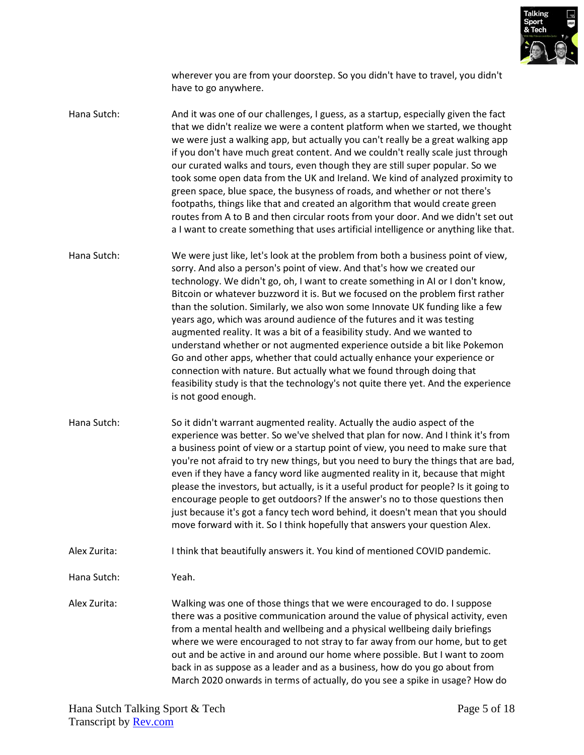

wherever you are from your doorstep. So you didn't have to travel, you didn't have to go anywhere.

Hana Sutch: And it was one of our challenges, I guess, as a startup, especially given the fact that we didn't realize we were a content platform when we started, we thought we were just a walking app, but actually you can't really be a great walking app if you don't have much great content. And we couldn't really scale just through our curated walks and tours, even though they are still super popular. So we took some open data from the UK and Ireland. We kind of analyzed proximity to green space, blue space, the busyness of roads, and whether or not there's footpaths, things like that and created an algorithm that would create green routes from A to B and then circular roots from your door. And we didn't set out a I want to create something that uses artificial intelligence or anything like that.

Hana Sutch: We were just like, let's look at the problem from both a business point of view, sorry. And also a person's point of view. And that's how we created our technology. We didn't go, oh, I want to create something in AI or I don't know, Bitcoin or whatever buzzword it is. But we focused on the problem first rather than the solution. Similarly, we also won some Innovate UK funding like a few years ago, which was around audience of the futures and it was testing augmented reality. It was a bit of a feasibility study. And we wanted to understand whether or not augmented experience outside a bit like Pokemon Go and other apps, whether that could actually enhance your experience or connection with nature. But actually what we found through doing that feasibility study is that the technology's not quite there yet. And the experience is not good enough.

Hana Sutch: So it didn't warrant augmented reality. Actually the audio aspect of the experience was better. So we've shelved that plan for now. And I think it's from a business point of view or a startup point of view, you need to make sure that you're not afraid to try new things, but you need to bury the things that are bad, even if they have a fancy word like augmented reality in it, because that might please the investors, but actually, is it a useful product for people? Is it going to encourage people to get outdoors? If the answer's no to those questions then just because it's got a fancy tech word behind, it doesn't mean that you should move forward with it. So I think hopefully that answers your question Alex.

Alex Zurita: I think that beautifully answers it. You kind of mentioned COVID pandemic.

Hana Sutch: Yeah.

Alex Zurita: Walking was one of those things that we were encouraged to do. I suppose there was a positive communication around the value of physical activity, even from a mental health and wellbeing and a physical wellbeing daily briefings where we were encouraged to not stray to far away from our home, but to get out and be active in and around our home where possible. But I want to zoom back in as suppose as a leader and as a business, how do you go about from March 2020 onwards in terms of actually, do you see a spike in usage? How do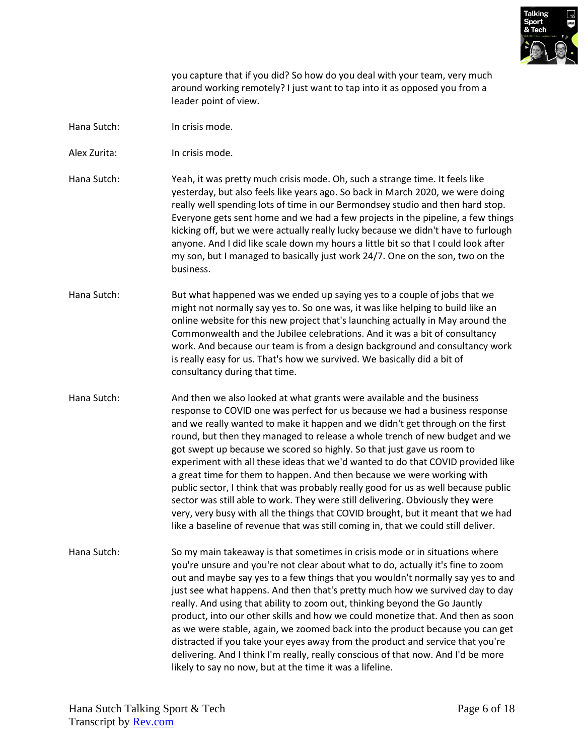

you capture that if you did? So how do you deal with your team, very much around working remotely? I just want to tap into it as opposed you from a leader point of view.

- Hana Sutch: In crisis mode.
- Alex Zurita: In crisis mode.
- Hana Sutch: Yeah, it was pretty much crisis mode. Oh, such a strange time. It feels like yesterday, but also feels like years ago. So back in March 2020, we were doing really well spending lots of time in our Bermondsey studio and then hard stop. Everyone gets sent home and we had a few projects in the pipeline, a few things kicking off, but we were actually really lucky because we didn't have to furlough anyone. And I did like scale down my hours a little bit so that I could look after my son, but I managed to basically just work 24/7. One on the son, two on the business.
- Hana Sutch: But what happened was we ended up saying yes to a couple of jobs that we might not normally say yes to. So one was, it was like helping to build like an online website for this new project that's launching actually in May around the Commonwealth and the Jubilee celebrations. And it was a bit of consultancy work. And because our team is from a design background and consultancy work is really easy for us. That's how we survived. We basically did a bit of consultancy during that time.
- Hana Sutch: And then we also looked at what grants were available and the business response to COVID one was perfect for us because we had a business response and we really wanted to make it happen and we didn't get through on the first round, but then they managed to release a whole trench of new budget and we got swept up because we scored so highly. So that just gave us room to experiment with all these ideas that we'd wanted to do that COVID provided like a great time for them to happen. And then because we were working with public sector, I think that was probably really good for us as well because public sector was still able to work. They were still delivering. Obviously they were very, very busy with all the things that COVID brought, but it meant that we had like a baseline of revenue that was still coming in, that we could still deliver.
- Hana Sutch: So my main takeaway is that sometimes in crisis mode or in situations where you're unsure and you're not clear about what to do, actually it's fine to zoom out and maybe say yes to a few things that you wouldn't normally say yes to and just see what happens. And then that's pretty much how we survived day to day really. And using that ability to zoom out, thinking beyond the Go Jauntly product, into our other skills and how we could monetize that. And then as soon as we were stable, again, we zoomed back into the product because you can get distracted if you take your eyes away from the product and service that you're delivering. And I think I'm really, really conscious of that now. And I'd be more likely to say no now, but at the time it was a lifeline.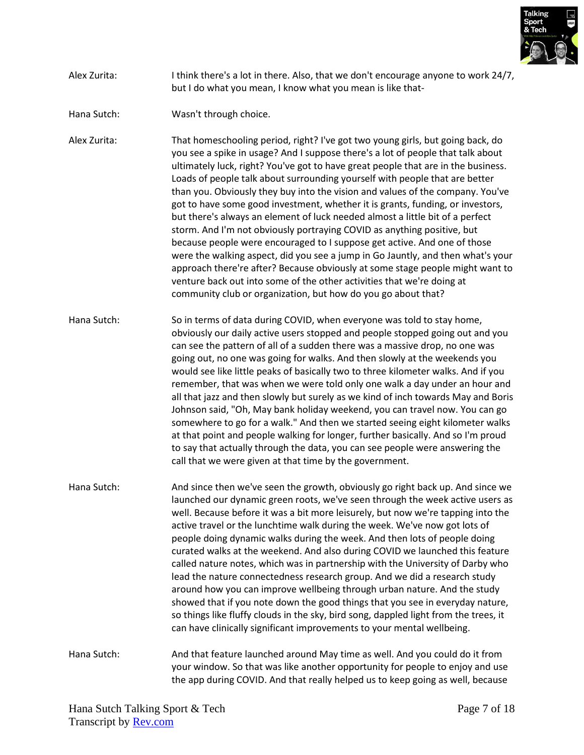

## Alex Zurita: I think there's a lot in there. Also, that we don't encourage anyone to work 24/7, but I do what you mean, I know what you mean is like that-

Hana Sutch: Wasn't through choice.

Alex Zurita: That homeschooling period, right? I've got two young girls, but going back, do you see a spike in usage? And I suppose there's a lot of people that talk about ultimately luck, right? You've got to have great people that are in the business. Loads of people talk about surrounding yourself with people that are better than you. Obviously they buy into the vision and values of the company. You've got to have some good investment, whether it is grants, funding, or investors, but there's always an element of luck needed almost a little bit of a perfect storm. And I'm not obviously portraying COVID as anything positive, but because people were encouraged to I suppose get active. And one of those were the walking aspect, did you see a jump in Go Jauntly, and then what's your approach there're after? Because obviously at some stage people might want to venture back out into some of the other activities that we're doing at community club or organization, but how do you go about that?

Hana Sutch: So in terms of data during COVID, when everyone was told to stay home, obviously our daily active users stopped and people stopped going out and you can see the pattern of all of a sudden there was a massive drop, no one was going out, no one was going for walks. And then slowly at the weekends you would see like little peaks of basically two to three kilometer walks. And if you remember, that was when we were told only one walk a day under an hour and all that jazz and then slowly but surely as we kind of inch towards May and Boris Johnson said, "Oh, May bank holiday weekend, you can travel now. You can go somewhere to go for a walk." And then we started seeing eight kilometer walks at that point and people walking for longer, further basically. And so I'm proud to say that actually through the data, you can see people were answering the call that we were given at that time by the government.

Hana Sutch: And since then we've seen the growth, obviously go right back up. And since we launched our dynamic green roots, we've seen through the week active users as well. Because before it was a bit more leisurely, but now we're tapping into the active travel or the lunchtime walk during the week. We've now got lots of people doing dynamic walks during the week. And then lots of people doing curated walks at the weekend. And also during COVID we launched this feature called nature notes, which was in partnership with the University of Darby who lead the nature connectedness research group. And we did a research study around how you can improve wellbeing through urban nature. And the study showed that if you note down the good things that you see in everyday nature, so things like fluffy clouds in the sky, bird song, dappled light from the trees, it can have clinically significant improvements to your mental wellbeing.

Hana Sutch: And that feature launched around May time as well. And you could do it from your window. So that was like another opportunity for people to enjoy and use the app during COVID. And that really helped us to keep going as well, because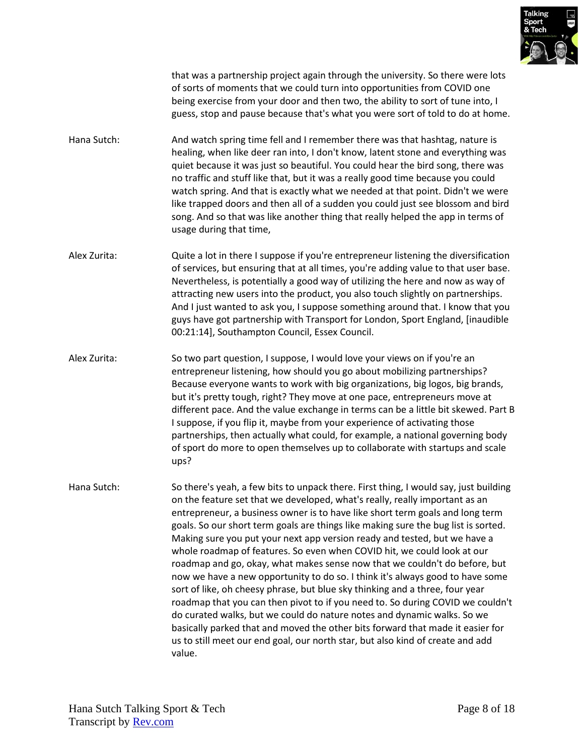

that was a partnership project again through the university. So there were lots of sorts of moments that we could turn into opportunities from COVID one being exercise from your door and then two, the ability to sort of tune into, I guess, stop and pause because that's what you were sort of told to do at home.

- Hana Sutch: And watch spring time fell and I remember there was that hashtag, nature is healing, when like deer ran into, I don't know, latent stone and everything was quiet because it was just so beautiful. You could hear the bird song, there was no traffic and stuff like that, but it was a really good time because you could watch spring. And that is exactly what we needed at that point. Didn't we were like trapped doors and then all of a sudden you could just see blossom and bird song. And so that was like another thing that really helped the app in terms of usage during that time,
- Alex Zurita: Quite a lot in there I suppose if you're entrepreneur listening the diversification of services, but ensuring that at all times, you're adding value to that user base. Nevertheless, is potentially a good way of utilizing the here and now as way of attracting new users into the product, you also touch slightly on partnerships. And I just wanted to ask you, I suppose something around that. I know that you guys have got partnership with Transport for London, Sport England, [inaudible 00:21:14], Southampton Council, Essex Council.
- Alex Zurita: So two part question, I suppose, I would love your views on if you're an entrepreneur listening, how should you go about mobilizing partnerships? Because everyone wants to work with big organizations, big logos, big brands, but it's pretty tough, right? They move at one pace, entrepreneurs move at different pace. And the value exchange in terms can be a little bit skewed. Part B I suppose, if you flip it, maybe from your experience of activating those partnerships, then actually what could, for example, a national governing body of sport do more to open themselves up to collaborate with startups and scale ups?
- Hana Sutch: So there's yeah, a few bits to unpack there. First thing, I would say, just building on the feature set that we developed, what's really, really important as an entrepreneur, a business owner is to have like short term goals and long term goals. So our short term goals are things like making sure the bug list is sorted. Making sure you put your next app version ready and tested, but we have a whole roadmap of features. So even when COVID hit, we could look at our roadmap and go, okay, what makes sense now that we couldn't do before, but now we have a new opportunity to do so. I think it's always good to have some sort of like, oh cheesy phrase, but blue sky thinking and a three, four year roadmap that you can then pivot to if you need to. So during COVID we couldn't do curated walks, but we could do nature notes and dynamic walks. So we basically parked that and moved the other bits forward that made it easier for us to still meet our end goal, our north star, but also kind of create and add value.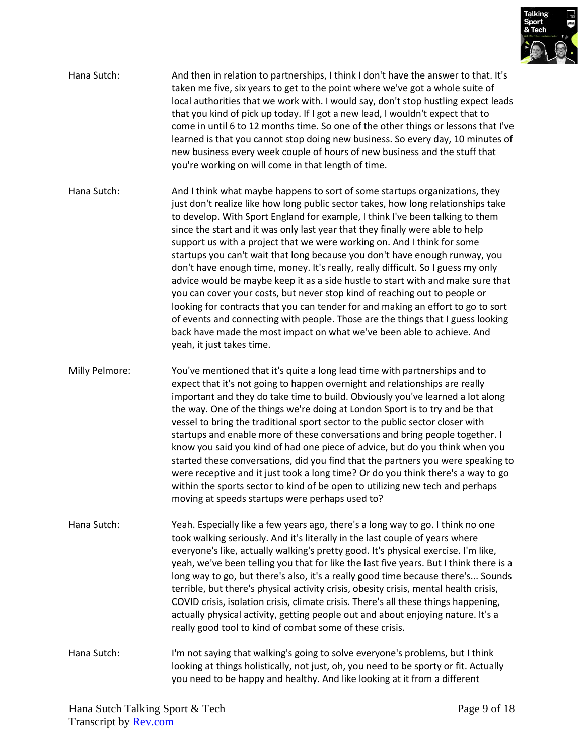

- Hana Sutch: And then in relation to partnerships, I think I don't have the answer to that. It's taken me five, six years to get to the point where we've got a whole suite of local authorities that we work with. I would say, don't stop hustling expect leads that you kind of pick up today. If I got a new lead, I wouldn't expect that to come in until 6 to 12 months time. So one of the other things or lessons that I've learned is that you cannot stop doing new business. So every day, 10 minutes of new business every week couple of hours of new business and the stuff that you're working on will come in that length of time.
- Hana Sutch: And I think what maybe happens to sort of some startups organizations, they just don't realize like how long public sector takes, how long relationships take to develop. With Sport England for example, I think I've been talking to them since the start and it was only last year that they finally were able to help support us with a project that we were working on. And I think for some startups you can't wait that long because you don't have enough runway, you don't have enough time, money. It's really, really difficult. So I guess my only advice would be maybe keep it as a side hustle to start with and make sure that you can cover your costs, but never stop kind of reaching out to people or looking for contracts that you can tender for and making an effort to go to sort of events and connecting with people. Those are the things that I guess looking back have made the most impact on what we've been able to achieve. And yeah, it just takes time.
- Milly Pelmore: You've mentioned that it's quite a long lead time with partnerships and to expect that it's not going to happen overnight and relationships are really important and they do take time to build. Obviously you've learned a lot along the way. One of the things we're doing at London Sport is to try and be that vessel to bring the traditional sport sector to the public sector closer with startups and enable more of these conversations and bring people together. I know you said you kind of had one piece of advice, but do you think when you started these conversations, did you find that the partners you were speaking to were receptive and it just took a long time? Or do you think there's a way to go within the sports sector to kind of be open to utilizing new tech and perhaps moving at speeds startups were perhaps used to?
- Hana Sutch: Yeah. Especially like a few years ago, there's a long way to go. I think no one took walking seriously. And it's literally in the last couple of years where everyone's like, actually walking's pretty good. It's physical exercise. I'm like, yeah, we've been telling you that for like the last five years. But I think there is a long way to go, but there's also, it's a really good time because there's... Sounds terrible, but there's physical activity crisis, obesity crisis, mental health crisis, COVID crisis, isolation crisis, climate crisis. There's all these things happening, actually physical activity, getting people out and about enjoying nature. It's a really good tool to kind of combat some of these crisis.
- Hana Sutch: I'm not saying that walking's going to solve everyone's problems, but I think looking at things holistically, not just, oh, you need to be sporty or fit. Actually you need to be happy and healthy. And like looking at it from a different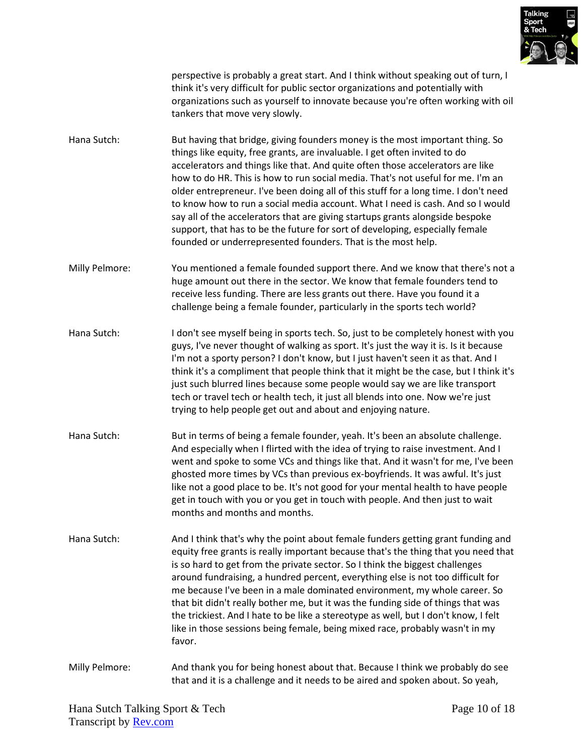

perspective is probably a great start. And I think without speaking out of turn, I think it's very difficult for public sector organizations and potentially with organizations such as yourself to innovate because you're often working with oil tankers that move very slowly.

- Hana Sutch: But having that bridge, giving founders money is the most important thing. So things like equity, free grants, are invaluable. I get often invited to do accelerators and things like that. And quite often those accelerators are like how to do HR. This is how to run social media. That's not useful for me. I'm an older entrepreneur. I've been doing all of this stuff for a long time. I don't need to know how to run a social media account. What I need is cash. And so I would say all of the accelerators that are giving startups grants alongside bespoke support, that has to be the future for sort of developing, especially female founded or underrepresented founders. That is the most help.
- Milly Pelmore: You mentioned a female founded support there. And we know that there's not a huge amount out there in the sector. We know that female founders tend to receive less funding. There are less grants out there. Have you found it a challenge being a female founder, particularly in the sports tech world?
- Hana Sutch: I don't see myself being in sports tech. So, just to be completely honest with you guys, I've never thought of walking as sport. It's just the way it is. Is it because I'm not a sporty person? I don't know, but I just haven't seen it as that. And I think it's a compliment that people think that it might be the case, but I think it's just such blurred lines because some people would say we are like transport tech or travel tech or health tech, it just all blends into one. Now we're just trying to help people get out and about and enjoying nature.
- Hana Sutch: But in terms of being a female founder, yeah. It's been an absolute challenge. And especially when I flirted with the idea of trying to raise investment. And I went and spoke to some VCs and things like that. And it wasn't for me, I've been ghosted more times by VCs than previous ex-boyfriends. It was awful. It's just like not a good place to be. It's not good for your mental health to have people get in touch with you or you get in touch with people. And then just to wait months and months and months.
- Hana Sutch: And I think that's why the point about female funders getting grant funding and equity free grants is really important because that's the thing that you need that is so hard to get from the private sector. So I think the biggest challenges around fundraising, a hundred percent, everything else is not too difficult for me because I've been in a male dominated environment, my whole career. So that bit didn't really bother me, but it was the funding side of things that was the trickiest. And I hate to be like a stereotype as well, but I don't know, I felt like in those sessions being female, being mixed race, probably wasn't in my favor.
- Milly Pelmore: And thank you for being honest about that. Because I think we probably do see that and it is a challenge and it needs to be aired and spoken about. So yeah,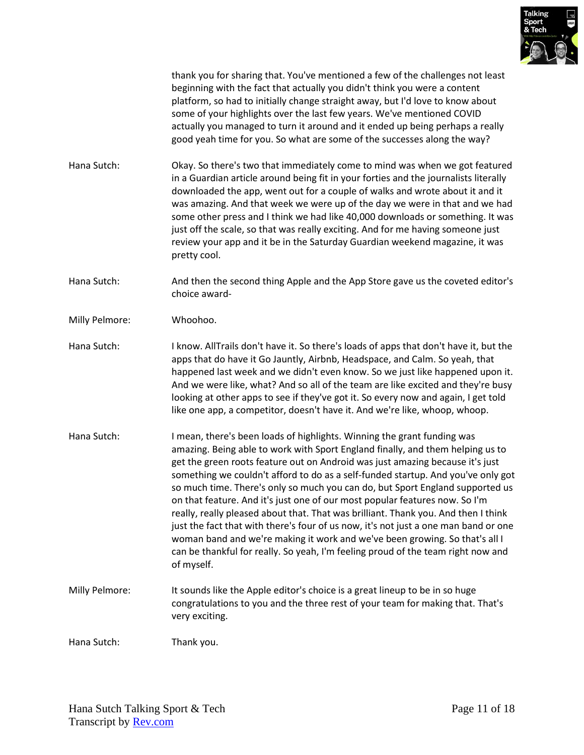

thank you for sharing that. You've mentioned a few of the challenges not least beginning with the fact that actually you didn't think you were a content platform, so had to initially change straight away, but I'd love to know about some of your highlights over the last few years. We've mentioned COVID actually you managed to turn it around and it ended up being perhaps a really good yeah time for you. So what are some of the successes along the way?

- Hana Sutch: Okay. So there's two that immediately come to mind was when we got featured in a Guardian article around being fit in your forties and the journalists literally downloaded the app, went out for a couple of walks and wrote about it and it was amazing. And that week we were up of the day we were in that and we had some other press and I think we had like 40,000 downloads or something. It was just off the scale, so that was really exciting. And for me having someone just review your app and it be in the Saturday Guardian weekend magazine, it was pretty cool.
- Hana Sutch: And then the second thing Apple and the App Store gave us the coveted editor's choice award-
- Milly Pelmore: Whoohoo.
- Hana Sutch: I know. AllTrails don't have it. So there's loads of apps that don't have it, but the apps that do have it Go Jauntly, Airbnb, Headspace, and Calm. So yeah, that happened last week and we didn't even know. So we just like happened upon it. And we were like, what? And so all of the team are like excited and they're busy looking at other apps to see if they've got it. So every now and again, I get told like one app, a competitor, doesn't have it. And we're like, whoop, whoop.
- Hana Sutch: I mean, there's been loads of highlights. Winning the grant funding was amazing. Being able to work with Sport England finally, and them helping us to get the green roots feature out on Android was just amazing because it's just something we couldn't afford to do as a self-funded startup. And you've only got so much time. There's only so much you can do, but Sport England supported us on that feature. And it's just one of our most popular features now. So I'm really, really pleased about that. That was brilliant. Thank you. And then I think just the fact that with there's four of us now, it's not just a one man band or one woman band and we're making it work and we've been growing. So that's all I can be thankful for really. So yeah, I'm feeling proud of the team right now and of myself.
- Milly Pelmore: It sounds like the Apple editor's choice is a great lineup to be in so huge congratulations to you and the three rest of your team for making that. That's very exciting.

Hana Sutch: Thank you.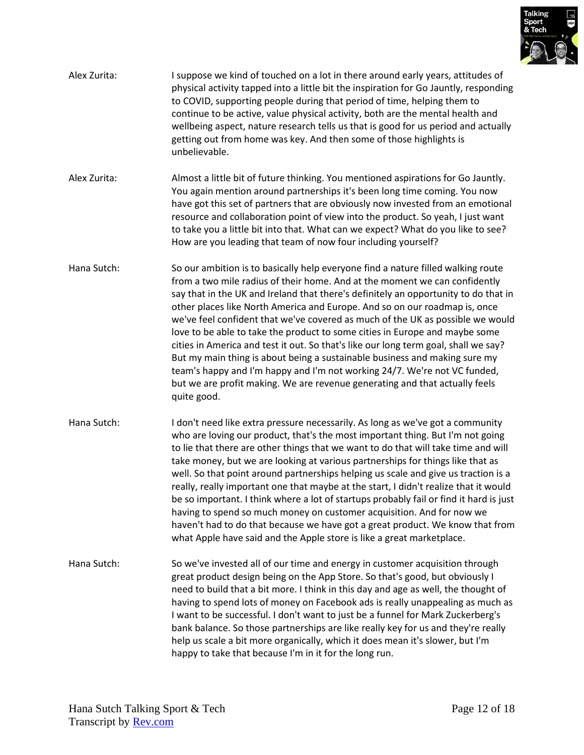

| Alex Zurita: | I suppose we kind of touched on a lot in there around early years, attitudes of<br>physical activity tapped into a little bit the inspiration for Go Jauntly, responding<br>to COVID, supporting people during that period of time, helping them to<br>continue to be active, value physical activity, both are the mental health and<br>wellbeing aspect, nature research tells us that is good for us period and actually<br>getting out from home was key. And then some of those highlights is<br>unbelievable.                                                                                                                                                                                                                                                                                                                                  |
|--------------|------------------------------------------------------------------------------------------------------------------------------------------------------------------------------------------------------------------------------------------------------------------------------------------------------------------------------------------------------------------------------------------------------------------------------------------------------------------------------------------------------------------------------------------------------------------------------------------------------------------------------------------------------------------------------------------------------------------------------------------------------------------------------------------------------------------------------------------------------|
| Alex Zurita: | Almost a little bit of future thinking. You mentioned aspirations for Go Jauntly.<br>You again mention around partnerships it's been long time coming. You now<br>have got this set of partners that are obviously now invested from an emotional<br>resource and collaboration point of view into the product. So yeah, I just want<br>to take you a little bit into that. What can we expect? What do you like to see?<br>How are you leading that team of now four including yourself?                                                                                                                                                                                                                                                                                                                                                            |
| Hana Sutch:  | So our ambition is to basically help everyone find a nature filled walking route<br>from a two mile radius of their home. And at the moment we can confidently<br>say that in the UK and Ireland that there's definitely an opportunity to do that in<br>other places like North America and Europe. And so on our roadmap is, once<br>we've feel confident that we've covered as much of the UK as possible we would<br>love to be able to take the product to some cities in Europe and maybe some<br>cities in America and test it out. So that's like our long term goal, shall we say?<br>But my main thing is about being a sustainable business and making sure my<br>team's happy and I'm happy and I'm not working 24/7. We're not VC funded,<br>but we are profit making. We are revenue generating and that actually feels<br>quite good. |
| Hana Sutch:  | I don't need like extra pressure necessarily. As long as we've got a community<br>who are loving our product, that's the most important thing. But I'm not going<br>to lie that there are other things that we want to do that will take time and will<br>take money, but we are looking at various partnerships for things like that as<br>well. So that point around partnerships helping us scale and give us traction is a<br>really, really important one that maybe at the start, I didn't realize that it would<br>be so important. I think where a lot of startups probably fail or find it hard is just<br>having to spend so much money on customer acquisition. And for now we<br>haven't had to do that because we have got a great product. We know that from<br>what Apple have said and the Apple store is like a great marketplace.  |
| Hana Sutch:  | So we've invested all of our time and energy in customer acquisition through<br>great product design being on the App Store. So that's good, but obviously I<br>need to build that a bit more. I think in this day and age as well, the thought of<br>having to spend lots of money on Facebook ads is really unappealing as much as<br>I want to be successful. I don't want to just be a funnel for Mark Zuckerberg's<br>bank balance. So those partnerships are like really key for us and they're really<br>help us scale a bit more organically, which it does mean it's slower, but I'm<br>happy to take that because I'm in it for the long run.                                                                                                                                                                                              |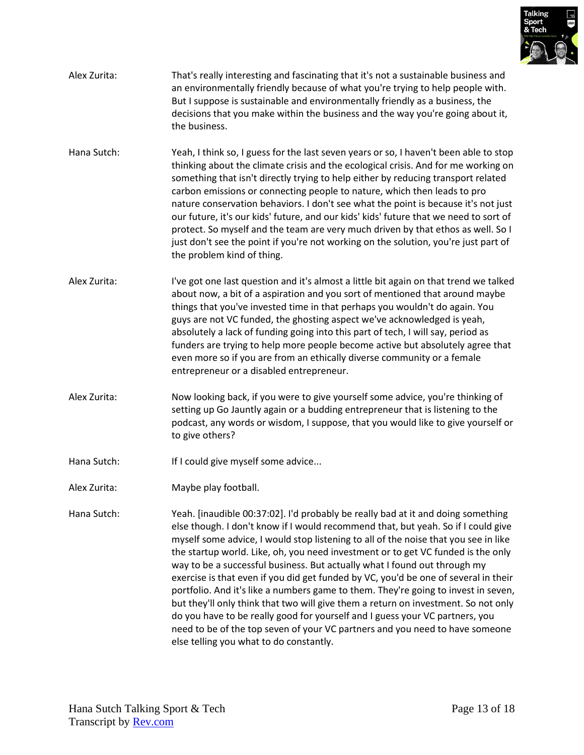

| Alex Zurita: | That's really interesting and fascinating that it's not a sustainable business and |
|--------------|------------------------------------------------------------------------------------|
|              | an environmentally friendly because of what you're trying to help people with.     |
|              | But I suppose is sustainable and environmentally friendly as a business, the       |
|              | decisions that you make within the business and the way you're going about it,     |
|              | the business.                                                                      |

- Hana Sutch: Yeah, I think so, I guess for the last seven years or so, I haven't been able to stop thinking about the climate crisis and the ecological crisis. And for me working on something that isn't directly trying to help either by reducing transport related carbon emissions or connecting people to nature, which then leads to pro nature conservation behaviors. I don't see what the point is because it's not just our future, it's our kids' future, and our kids' kids' future that we need to sort of protect. So myself and the team are very much driven by that ethos as well. So I just don't see the point if you're not working on the solution, you're just part of the problem kind of thing.
- Alex Zurita: I've got one last question and it's almost a little bit again on that trend we talked about now, a bit of a aspiration and you sort of mentioned that around maybe things that you've invested time in that perhaps you wouldn't do again. You guys are not VC funded, the ghosting aspect we've acknowledged is yeah, absolutely a lack of funding going into this part of tech, I will say, period as funders are trying to help more people become active but absolutely agree that even more so if you are from an ethically diverse community or a female entrepreneur or a disabled entrepreneur.
- Alex Zurita: Now looking back, if you were to give yourself some advice, you're thinking of setting up Go Jauntly again or a budding entrepreneur that is listening to the podcast, any words or wisdom, I suppose, that you would like to give yourself or to give others?
- Hana Sutch: If I could give myself some advice...
- Alex Zurita: Maybe play football.
- Hana Sutch: Yeah. [inaudible 00:37:02]. I'd probably be really bad at it and doing something else though. I don't know if I would recommend that, but yeah. So if I could give myself some advice, I would stop listening to all of the noise that you see in like the startup world. Like, oh, you need investment or to get VC funded is the only way to be a successful business. But actually what I found out through my exercise is that even if you did get funded by VC, you'd be one of several in their portfolio. And it's like a numbers game to them. They're going to invest in seven, but they'll only think that two will give them a return on investment. So not only do you have to be really good for yourself and I guess your VC partners, you need to be of the top seven of your VC partners and you need to have someone else telling you what to do constantly.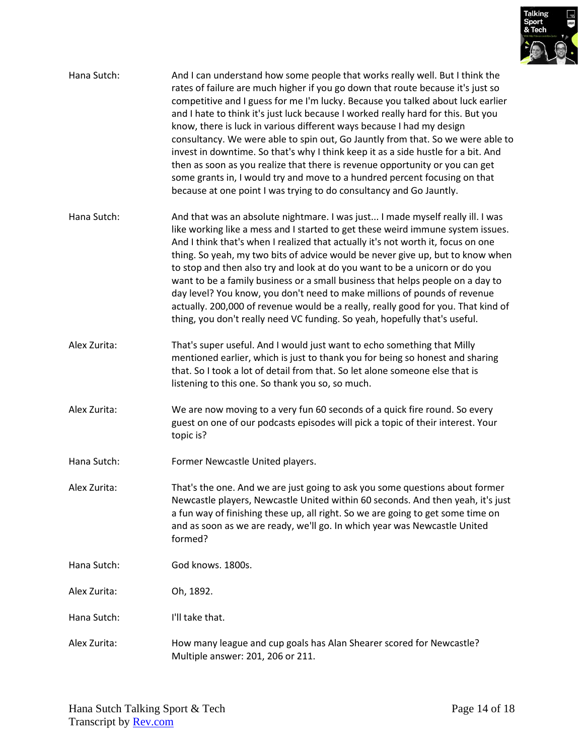

| Hana Sutch:  | And I can understand how some people that works really well. But I think the<br>rates of failure are much higher if you go down that route because it's just so<br>competitive and I guess for me I'm lucky. Because you talked about luck earlier<br>and I hate to think it's just luck because I worked really hard for this. But you<br>know, there is luck in various different ways because I had my design<br>consultancy. We were able to spin out, Go Jauntly from that. So we were able to<br>invest in downtime. So that's why I think keep it as a side hustle for a bit. And<br>then as soon as you realize that there is revenue opportunity or you can get<br>some grants in, I would try and move to a hundred percent focusing on that<br>because at one point I was trying to do consultancy and Go Jauntly. |
|--------------|-------------------------------------------------------------------------------------------------------------------------------------------------------------------------------------------------------------------------------------------------------------------------------------------------------------------------------------------------------------------------------------------------------------------------------------------------------------------------------------------------------------------------------------------------------------------------------------------------------------------------------------------------------------------------------------------------------------------------------------------------------------------------------------------------------------------------------|
| Hana Sutch:  | And that was an absolute nightmare. I was just I made myself really ill. I was<br>like working like a mess and I started to get these weird immune system issues.<br>And I think that's when I realized that actually it's not worth it, focus on one<br>thing. So yeah, my two bits of advice would be never give up, but to know when<br>to stop and then also try and look at do you want to be a unicorn or do you<br>want to be a family business or a small business that helps people on a day to<br>day level? You know, you don't need to make millions of pounds of revenue<br>actually. 200,000 of revenue would be a really, really good for you. That kind of<br>thing, you don't really need VC funding. So yeah, hopefully that's useful.                                                                      |
| Alex Zurita: | That's super useful. And I would just want to echo something that Milly<br>mentioned earlier, which is just to thank you for being so honest and sharing<br>that. So I took a lot of detail from that. So let alone someone else that is<br>listening to this one. So thank you so, so much.                                                                                                                                                                                                                                                                                                                                                                                                                                                                                                                                  |
| Alex Zurita: | We are now moving to a very fun 60 seconds of a quick fire round. So every<br>guest on one of our podcasts episodes will pick a topic of their interest. Your<br>topic is?                                                                                                                                                                                                                                                                                                                                                                                                                                                                                                                                                                                                                                                    |
| Hana Sutch:  | Former Newcastle United players.                                                                                                                                                                                                                                                                                                                                                                                                                                                                                                                                                                                                                                                                                                                                                                                              |
| Alex Zurita: | That's the one. And we are just going to ask you some questions about former<br>Newcastle players, Newcastle United within 60 seconds. And then yeah, it's just<br>a fun way of finishing these up, all right. So we are going to get some time on<br>and as soon as we are ready, we'll go. In which year was Newcastle United<br>formed?                                                                                                                                                                                                                                                                                                                                                                                                                                                                                    |
| Hana Sutch:  | God knows. 1800s.                                                                                                                                                                                                                                                                                                                                                                                                                                                                                                                                                                                                                                                                                                                                                                                                             |
| Alex Zurita: | Oh, 1892.                                                                                                                                                                                                                                                                                                                                                                                                                                                                                                                                                                                                                                                                                                                                                                                                                     |
| Hana Sutch:  | I'll take that.                                                                                                                                                                                                                                                                                                                                                                                                                                                                                                                                                                                                                                                                                                                                                                                                               |
| Alex Zurita: | How many league and cup goals has Alan Shearer scored for Newcastle?<br>Multiple answer: 201, 206 or 211.                                                                                                                                                                                                                                                                                                                                                                                                                                                                                                                                                                                                                                                                                                                     |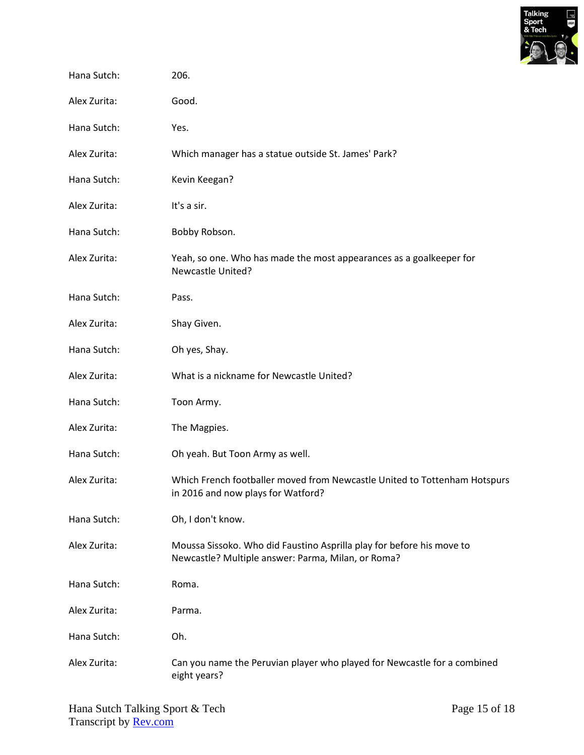

| Hana Sutch:  | 206.                                                                                                                        |
|--------------|-----------------------------------------------------------------------------------------------------------------------------|
| Alex Zurita: | Good.                                                                                                                       |
| Hana Sutch:  | Yes.                                                                                                                        |
| Alex Zurita: | Which manager has a statue outside St. James' Park?                                                                         |
| Hana Sutch:  | Kevin Keegan?                                                                                                               |
| Alex Zurita: | It's a sir.                                                                                                                 |
| Hana Sutch:  | Bobby Robson.                                                                                                               |
| Alex Zurita: | Yeah, so one. Who has made the most appearances as a goalkeeper for<br><b>Newcastle United?</b>                             |
| Hana Sutch:  | Pass.                                                                                                                       |
| Alex Zurita: | Shay Given.                                                                                                                 |
| Hana Sutch:  | Oh yes, Shay.                                                                                                               |
| Alex Zurita: | What is a nickname for Newcastle United?                                                                                    |
| Hana Sutch:  | Toon Army.                                                                                                                  |
| Alex Zurita: | The Magpies.                                                                                                                |
| Hana Sutch:  | Oh yeah. But Toon Army as well.                                                                                             |
| Alex Zurita: | Which French footballer moved from Newcastle United to Tottenham Hotspurs<br>in 2016 and now plays for Watford?             |
| Hana Sutch:  | Oh, I don't know.                                                                                                           |
| Alex Zurita: | Moussa Sissoko. Who did Faustino Asprilla play for before his move to<br>Newcastle? Multiple answer: Parma, Milan, or Roma? |
| Hana Sutch:  | Roma.                                                                                                                       |
| Alex Zurita: | Parma.                                                                                                                      |
| Hana Sutch:  | Oh.                                                                                                                         |
| Alex Zurita: | Can you name the Peruvian player who played for Newcastle for a combined<br>eight years?                                    |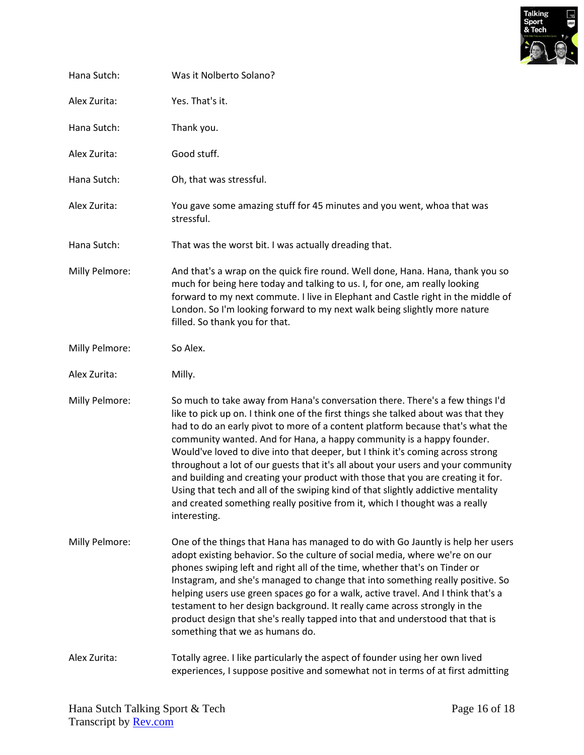

| Hana Sutch:    | Was it Nolberto Solano?                                                                                                                                                                                                                                                                                                                                                                                                                                                                                                                                                                                                                                                                                                                                                    |
|----------------|----------------------------------------------------------------------------------------------------------------------------------------------------------------------------------------------------------------------------------------------------------------------------------------------------------------------------------------------------------------------------------------------------------------------------------------------------------------------------------------------------------------------------------------------------------------------------------------------------------------------------------------------------------------------------------------------------------------------------------------------------------------------------|
| Alex Zurita:   | Yes. That's it.                                                                                                                                                                                                                                                                                                                                                                                                                                                                                                                                                                                                                                                                                                                                                            |
| Hana Sutch:    | Thank you.                                                                                                                                                                                                                                                                                                                                                                                                                                                                                                                                                                                                                                                                                                                                                                 |
| Alex Zurita:   | Good stuff.                                                                                                                                                                                                                                                                                                                                                                                                                                                                                                                                                                                                                                                                                                                                                                |
| Hana Sutch:    | Oh, that was stressful.                                                                                                                                                                                                                                                                                                                                                                                                                                                                                                                                                                                                                                                                                                                                                    |
| Alex Zurita:   | You gave some amazing stuff for 45 minutes and you went, whoa that was<br>stressful.                                                                                                                                                                                                                                                                                                                                                                                                                                                                                                                                                                                                                                                                                       |
| Hana Sutch:    | That was the worst bit. I was actually dreading that.                                                                                                                                                                                                                                                                                                                                                                                                                                                                                                                                                                                                                                                                                                                      |
| Milly Pelmore: | And that's a wrap on the quick fire round. Well done, Hana. Hana, thank you so<br>much for being here today and talking to us. I, for one, am really looking<br>forward to my next commute. I live in Elephant and Castle right in the middle of<br>London. So I'm looking forward to my next walk being slightly more nature<br>filled. So thank you for that.                                                                                                                                                                                                                                                                                                                                                                                                            |
| Milly Pelmore: | So Alex.                                                                                                                                                                                                                                                                                                                                                                                                                                                                                                                                                                                                                                                                                                                                                                   |
| Alex Zurita:   | Milly.                                                                                                                                                                                                                                                                                                                                                                                                                                                                                                                                                                                                                                                                                                                                                                     |
| Milly Pelmore: | So much to take away from Hana's conversation there. There's a few things I'd<br>like to pick up on. I think one of the first things she talked about was that they<br>had to do an early pivot to more of a content platform because that's what the<br>community wanted. And for Hana, a happy community is a happy founder.<br>Would've loved to dive into that deeper, but I think it's coming across strong<br>throughout a lot of our guests that it's all about your users and your community<br>and building and creating your product with those that you are creating it for.<br>Using that tech and all of the swiping kind of that slightly addictive mentality<br>and created something really positive from it, which I thought was a really<br>interesting. |
| Milly Pelmore: | One of the things that Hana has managed to do with Go Jauntly is help her users<br>adopt existing behavior. So the culture of social media, where we're on our<br>phones swiping left and right all of the time, whether that's on Tinder or<br>Instagram, and she's managed to change that into something really positive. So<br>helping users use green spaces go for a walk, active travel. And I think that's a<br>testament to her design background. It really came across strongly in the<br>product design that she's really tapped into that and understood that that is<br>something that we as humans do.                                                                                                                                                       |
| Alex Zurita:   | Totally agree. I like particularly the aspect of founder using her own lived<br>experiences, I suppose positive and somewhat not in terms of at first admitting                                                                                                                                                                                                                                                                                                                                                                                                                                                                                                                                                                                                            |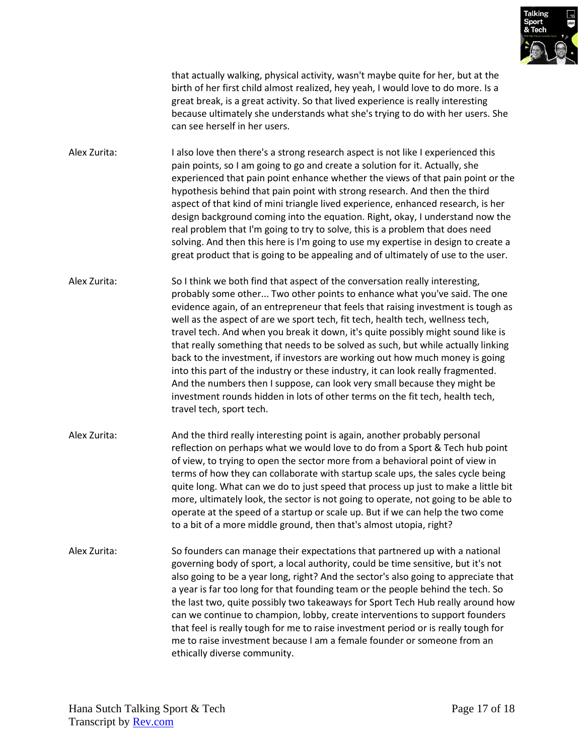

that actually walking, physical activity, wasn't maybe quite for her, but at the birth of her first child almost realized, hey yeah, I would love to do more. Is a great break, is a great activity. So that lived experience is really interesting because ultimately she understands what she's trying to do with her users. She can see herself in her users.

Alex Zurita: I also love then there's a strong research aspect is not like I experienced this pain points, so I am going to go and create a solution for it. Actually, she experienced that pain point enhance whether the views of that pain point or the hypothesis behind that pain point with strong research. And then the third aspect of that kind of mini triangle lived experience, enhanced research, is her design background coming into the equation. Right, okay, I understand now the real problem that I'm going to try to solve, this is a problem that does need solving. And then this here is I'm going to use my expertise in design to create a great product that is going to be appealing and of ultimately of use to the user.

Alex Zurita: So I think we both find that aspect of the conversation really interesting, probably some other... Two other points to enhance what you've said. The one evidence again, of an entrepreneur that feels that raising investment is tough as well as the aspect of are we sport tech, fit tech, health tech, wellness tech, travel tech. And when you break it down, it's quite possibly might sound like is that really something that needs to be solved as such, but while actually linking back to the investment, if investors are working out how much money is going into this part of the industry or these industry, it can look really fragmented. And the numbers then I suppose, can look very small because they might be investment rounds hidden in lots of other terms on the fit tech, health tech, travel tech, sport tech.

- Alex Zurita: And the third really interesting point is again, another probably personal reflection on perhaps what we would love to do from a Sport & Tech hub point of view, to trying to open the sector more from a behavioral point of view in terms of how they can collaborate with startup scale ups, the sales cycle being quite long. What can we do to just speed that process up just to make a little bit more, ultimately look, the sector is not going to operate, not going to be able to operate at the speed of a startup or scale up. But if we can help the two come to a bit of a more middle ground, then that's almost utopia, right?
- Alex Zurita: So founders can manage their expectations that partnered up with a national governing body of sport, a local authority, could be time sensitive, but it's not also going to be a year long, right? And the sector's also going to appreciate that a year is far too long for that founding team or the people behind the tech. So the last two, quite possibly two takeaways for Sport Tech Hub really around how can we continue to champion, lobby, create interventions to support founders that feel is really tough for me to raise investment period or is really tough for me to raise investment because I am a female founder or someone from an ethically diverse community.